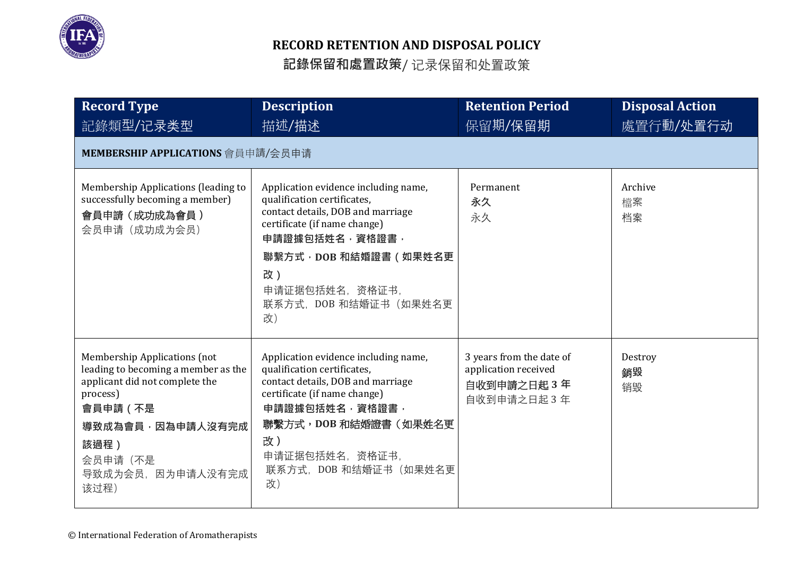

| <b>Record Type</b>                                                                                                                                                                                       | <b>Description</b>                                                                                                                                                                                                                             | <b>Retention Period</b>                                                       | <b>Disposal Action</b> |
|----------------------------------------------------------------------------------------------------------------------------------------------------------------------------------------------------------|------------------------------------------------------------------------------------------------------------------------------------------------------------------------------------------------------------------------------------------------|-------------------------------------------------------------------------------|------------------------|
| 記錄類型/记录类型                                                                                                                                                                                                | 描述/描述                                                                                                                                                                                                                                          | 保留期/保留期                                                                       | 處置行動/处置行动              |
| MEMBERSHIP APPLICATIONS 會員申請/会员申请                                                                                                                                                                        |                                                                                                                                                                                                                                                |                                                                               |                        |
| Membership Applications (leading to<br>successfully becoming a member)<br>會員申請 (成功成為會員)<br>会员申请(成功成为会员)                                                                                                  | Application evidence including name,<br>qualification certificates,<br>contact details, DOB and marriage<br>certificate (if name change)<br>申請證據包括姓名,資格證書,<br>聯繫方式, DOB 和結婚證書 ( 如果姓名更<br>改)<br>申请证据包括姓名, 资格证书,<br>联系方式, DOB 和结婚证书 (如果姓名更<br>改) | Permanent<br>永久<br>永久                                                         | Archive<br>檔案<br>档案    |
| <b>Membership Applications (not</b><br>leading to becoming a member as the<br>applicant did not complete the<br>process)<br>會員申請 (不是<br>導致成為會員,因為申請人沒有完成<br>該過程)<br>会员申请(不是<br>导致成为会员, 因为申请人没有完成<br>该过程) | Application evidence including name,<br>qualification certificates,<br>contact details, DOB and marriage<br>certificate (if name change)<br>申請證據包括姓名,資格證書,<br>聯繫方式, DOB 和結婚證書 (如果姓名更<br>改)<br>申请证据包括姓名, 资格证书,<br>联系方式, DOB 和结婚证书 (如果姓名更<br>改)  | 3 years from the date of<br>application received<br>自收到申請之日起3年<br>自收到申请之日起 3年 | Destroy<br>銷毀<br>销毁    |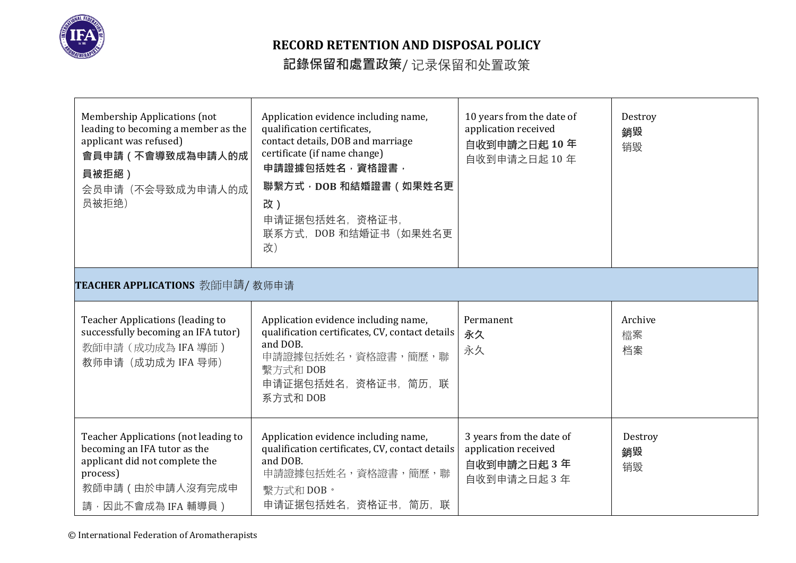

| Membership Applications (not<br>leading to becoming a member as the<br>applicant was refused)<br>會員申請 (不會導致成為申請人的成<br>員被拒絕)<br>会员申请(不会导致成为申请人的成<br>员被拒绝)    | Application evidence including name,<br>qualification certificates,<br>contact details, DOB and marriage<br>certificate (if name change)<br>申請證據包括姓名,資格證書,<br>聯繫方式, DOB 和結婚證書 (如果姓名更<br>改)<br>申请证据包括姓名, 资格证书,<br>联系方式, DOB 和结婚证书 (如果姓名更<br>改) | 10 years from the date of<br>application received<br>自收到申請之日起10年<br>自收到申请之日起 10年 | Destroy<br>銷毀<br>销毁 |
|-------------------------------------------------------------------------------------------------------------------------------------------------------------|-----------------------------------------------------------------------------------------------------------------------------------------------------------------------------------------------------------------------------------------------|----------------------------------------------------------------------------------|---------------------|
| TEACHER APPLICATIONS 教師申請/教师申请                                                                                                                              |                                                                                                                                                                                                                                               |                                                                                  |                     |
| <b>Teacher Applications (leading to</b><br>successfully becoming an IFA tutor)<br>教師申請(成功成為 IFA 導師)<br>教师申请 (成功成为 IFA 导师)                                   | Application evidence including name,<br>qualification certificates, CV, contact details<br>and DOB.<br>申請證據包括姓名,資格證書,簡歷,聯<br>繫方式和 DOB<br>申请证据包括姓名, 资格证书, 简历, 联<br>系方式和 DOB                                                                    | Permanent<br>永久<br>永久                                                            | Archive<br>檔案<br>档案 |
| Teacher Applications (not leading to<br>becoming an IFA tutor as the<br>applicant did not complete the<br>process)<br>教師申請 (由於申請人沒有完成申<br>請,因此不會成為 IFA 輔導員) | Application evidence including name,<br>qualification certificates, CV, contact details<br>and DOB.<br>申請證據包括姓名,資格證書,簡歷,聯<br>繫方式和 DOB。<br>申请证据包括姓名, 资格证书, 简历, 联                                                                               | 3 years from the date of<br>application received<br>自收到申請之日起3年<br>自收到申请之日起3年     | Destroy<br>銷毀<br>销毁 |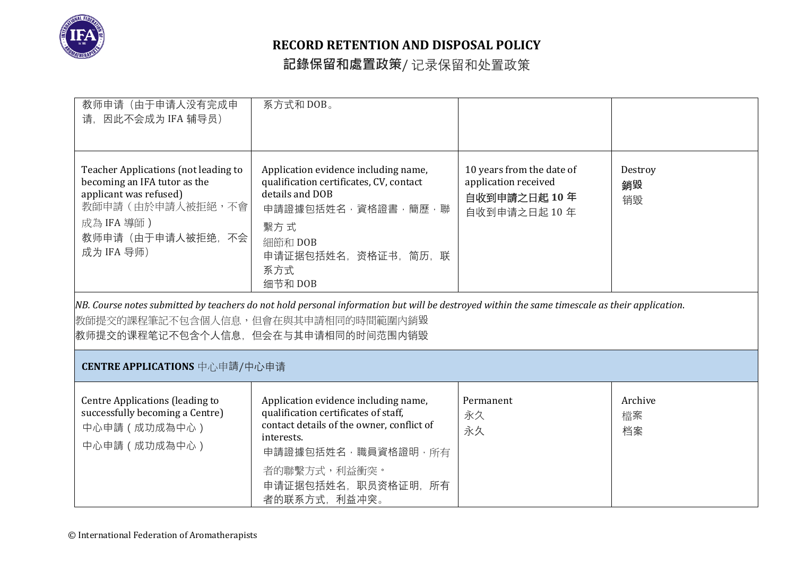

| 教师申请(由于申请人没有完成申<br>请, 因此不会成为 IFA 辅导员)                                                                                                                                                                     | 系方式和 DOB。                                                                                                                                                                                                                                                                                                                                                                 |                                                                                  |                     |
|-----------------------------------------------------------------------------------------------------------------------------------------------------------------------------------------------------------|---------------------------------------------------------------------------------------------------------------------------------------------------------------------------------------------------------------------------------------------------------------------------------------------------------------------------------------------------------------------------|----------------------------------------------------------------------------------|---------------------|
| Teacher Applications (not leading to<br>becoming an IFA tutor as the<br>applicant was refused)<br>教師申請 (由於申請人被拒絕,不會<br>成為 IFA 導師)<br>教师申请(由于申请人被拒绝,不会<br>成为 IFA 导师)<br>教师提交的课程笔记不包含个人信息,但会在与其申请相同的时间范围内销毁 | Application evidence including name,<br>qualification certificates, CV, contact<br>details and DOB<br>申請證據包括姓名,資格證書,簡歷,聯<br>繫方式<br>細節和 DOB<br>申请证据包括姓名,资格证书,简历,联<br>系方式<br>细节和 DOB<br>NB. Course notes submitted by teachers do not hold personal information but will be destroyed within the same timescale as their application.<br>教師提交的課程筆記不包含個人信息,但會在與其申請相同的時間範圍內銷毀 | 10 years from the date of<br>application received<br>自收到申請之日起10年<br>自收到申请之日起 10年 | Destroy<br>銷毀<br>销毁 |
| CENTRE APPLICATIONS 中心申請/中心申请                                                                                                                                                                             |                                                                                                                                                                                                                                                                                                                                                                           |                                                                                  |                     |
| Centre Applications (leading to<br>successfully becoming a Centre)<br>中心申請 (成功成為中心)<br>中心申請 (成功成為中心)                                                                                                      | Application evidence including name,<br>qualification certificates of staff,<br>contact details of the owner, conflict of<br>interests.<br>申請證據包括姓名,職員資格證明,所有<br>者的聯繫方式,利益衝突。<br>申请证据包括姓名, 职员资格证明, 所有<br>者的联系方式, 利益冲突。                                                                                                                                                    | Permanent<br>永久<br>永久                                                            | Archive<br>檔案<br>档案 |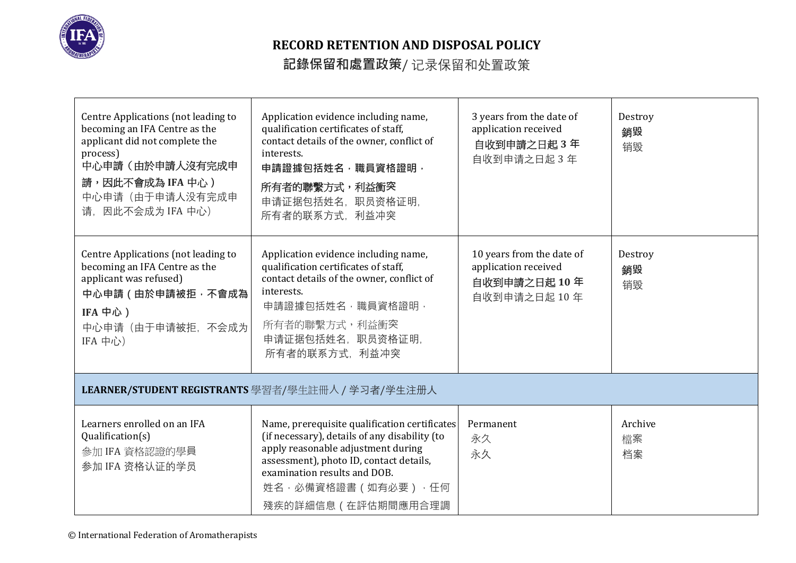

| Centre Applications (not leading to<br>becoming an IFA Centre as the<br>applicant did not complete the<br>process)<br>中心申請(由於申請人沒有完成申<br>請,因此不會成為 IFA 中心)<br>中心申请(由于申请人没有完成申<br>请, 因此不会成为 IFA 中心) | Application evidence including name,<br>qualification certificates of staff,<br>contact details of the owner, conflict of<br>interests.<br>申請證據包括姓名, 職員資格證明,<br>所有者的聯繫方式,利益衝突<br>申请证据包括姓名, 职员资格证明,<br>所有者的联系方式, 利益冲突                                               | 3 years from the date of<br>application received<br>自收到申請之日起3年<br>自收到申请之日起 3年    | Destroy<br>銷毀<br>销毁 |
|---------------------------------------------------------------------------------------------------------------------------------------------------------------------------------------------------|--------------------------------------------------------------------------------------------------------------------------------------------------------------------------------------------------------------------------------------------------------------------|----------------------------------------------------------------------------------|---------------------|
| Centre Applications (not leading to<br>becoming an IFA Centre as the<br>applicant was refused)<br>中心申請 (由於申請被拒,不會成為<br>IFA 中心)<br>中心申请(由于申请被拒,不会成为<br>IFA 中心)                                     | Application evidence including name,<br>qualification certificates of staff,<br>contact details of the owner, conflict of<br>interests.<br>申請證據包括姓名, 職員資格證明,<br>所有者的聯繫方式, 利益衝突<br>申请证据包括姓名, 职员资格证明,<br>所有者的联系方式, 利益冲突                                              | 10 years from the date of<br>application received<br>自收到申請之日起10年<br>自收到申请之日起 10年 | Destroy<br>銷毀<br>销毁 |
|                                                                                                                                                                                                   | LEARNER/STUDENT REGISTRANTS 學習者/學生註冊人 / 学习者/学生注册人                                                                                                                                                                                                                  |                                                                                  |                     |
| Learners enrolled on an IFA<br>Qualification(s)<br>參加 IFA 資格認證的學員<br>参加 IFA 资格认证的学员                                                                                                               | Name, prerequisite qualification certificates<br>(if necessary), details of any disability (to<br>apply reasonable adjustment during<br>assessment), photo ID, contact details,<br>examination results and DOB.<br>姓名 · 必備資格證書 ( 如有必要 ) · 任何<br>殘疾的詳細信息(在評估期間應用合理調 | Permanent<br>永久<br>永久                                                            | Archive<br>檔案<br>档案 |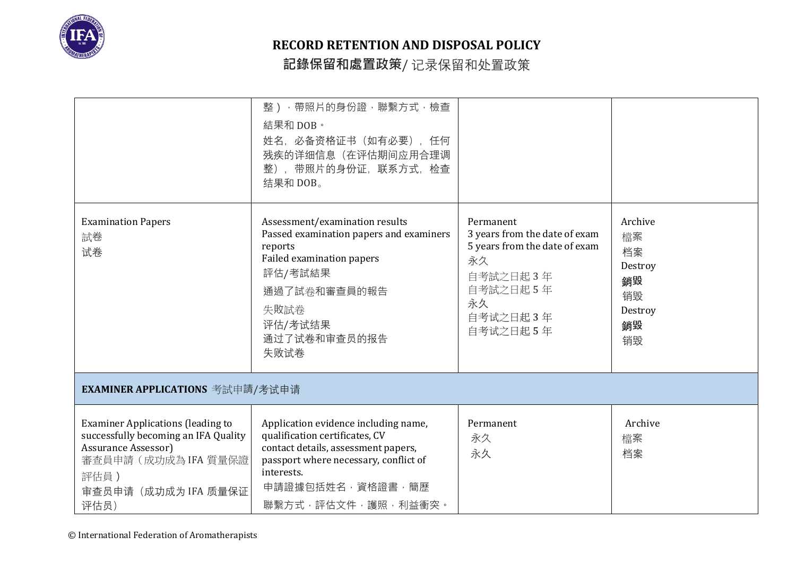

|                                                                                                                                                                         | 整),帶照片的身份證,聯繫方式,檢查<br>結果和 DOB。<br>姓名, 必备资格证书 (如有必要), 任何<br>残疾的详细信息(在评估期间应用合理调<br>整), 带照片的身份证, 联系方式, 检查<br>结果和 DOB。                                                                                             |                                                                                                                                         |                                                                   |
|-------------------------------------------------------------------------------------------------------------------------------------------------------------------------|----------------------------------------------------------------------------------------------------------------------------------------------------------------------------------------------------------------|-----------------------------------------------------------------------------------------------------------------------------------------|-------------------------------------------------------------------|
| <b>Examination Papers</b><br>試卷<br>试卷                                                                                                                                   | Assessment/examination results<br>Passed examination papers and examiners<br>reports<br>Failed examination papers<br>評估/考試結果<br>通過了試卷和審查員的報告<br>失敗試卷<br>评估/考试结果<br>通过了试卷和审查员的报告<br>失败试卷                        | Permanent<br>3 years from the date of exam<br>5 years from the date of exam<br>永久<br>自考試之日起3年<br>自考試之日起5年<br>永久<br>自考试之日起3年<br>自考试之日起5年 | Archive<br>檔案<br>档案<br>Destroy<br>銷毀<br>销毁<br>Destroy<br>銷毀<br>销毁 |
| EXAMINER APPLICATIONS 考試申請/考试申请                                                                                                                                         |                                                                                                                                                                                                                |                                                                                                                                         |                                                                   |
| <b>Examiner Applications (leading to</b><br>successfully becoming an IFA Quality<br>Assurance Assessor)<br>審查員申請 (成功成為 IFA 質量保證<br>評估員)<br>审查员申请 (成功成为 IFA 质量保证<br>评估员) | Application evidence including name,<br>qualification certificates, CV<br>contact details, assessment papers,<br>passport where necessary, conflict of<br>interests.<br>申請證據包括姓名,資格證書,簡歷<br>聯繫方式,評估文件,護照,利益衝突。 | Permanent<br>永久<br>永久                                                                                                                   | Archive<br>檔案<br>档案                                               |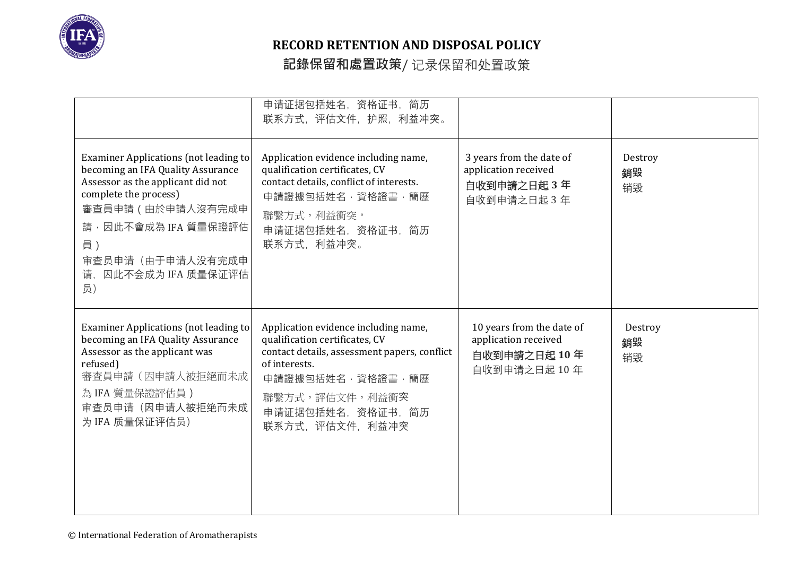

|                                                                                                                                                                                                                                              | 申请证据包括姓名, 资格证书, 简历<br>联系方式, 评估文件, 护照, 利益冲突。                                                                                                                                                                             |                                                                                  |                     |
|----------------------------------------------------------------------------------------------------------------------------------------------------------------------------------------------------------------------------------------------|-------------------------------------------------------------------------------------------------------------------------------------------------------------------------------------------------------------------------|----------------------------------------------------------------------------------|---------------------|
| Examiner Applications (not leading to<br>becoming an IFA Quality Assurance<br>Assessor as the applicant did not<br>complete the process)<br>審查員申請 (由於申請人沒有完成申<br>請,因此不會成為 IFA 質量保證評估<br>員)<br>审查员申请(由于申请人没有完成申<br>请, 因此不会成为 IFA 质量保证评估<br>员) | Application evidence including name,<br>qualification certificates, CV<br>contact details, conflict of interests.<br>申請證據包括姓名,資格證書,簡歷<br>聯繫方式,利益衝突。<br>申请证据包括姓名, 资格证书, 简历<br>联系方式, 利益冲突。                                | 3 years from the date of<br>application received<br>自收到申請之日起3年<br>自收到申请之日起 3年    | Destroy<br>銷毀<br>销毁 |
| Examiner Applications (not leading to<br>becoming an IFA Quality Assurance<br>Assessor as the applicant was<br>refused)<br>審查員申請(因申請人被拒絕而未成<br>為 IFA 質量保證評估員)<br>审查员申请(因申请人被拒绝而未成<br>为 IFA 质量保证评估员)                                          | Application evidence including name,<br>qualification certificates, CV<br>contact details, assessment papers, conflict<br>of interests.<br>申請證據包括姓名,資格證書,簡歷<br>聯繫方式,評估文件,利益衝突<br>申请证据包括姓名, 资格证书, 简历<br>联系方式, 评估文件, 利益冲突 | 10 years from the date of<br>application received<br>自收到申請之日起10年<br>自收到申请之日起 10年 | Destroy<br>銷毀<br>销毁 |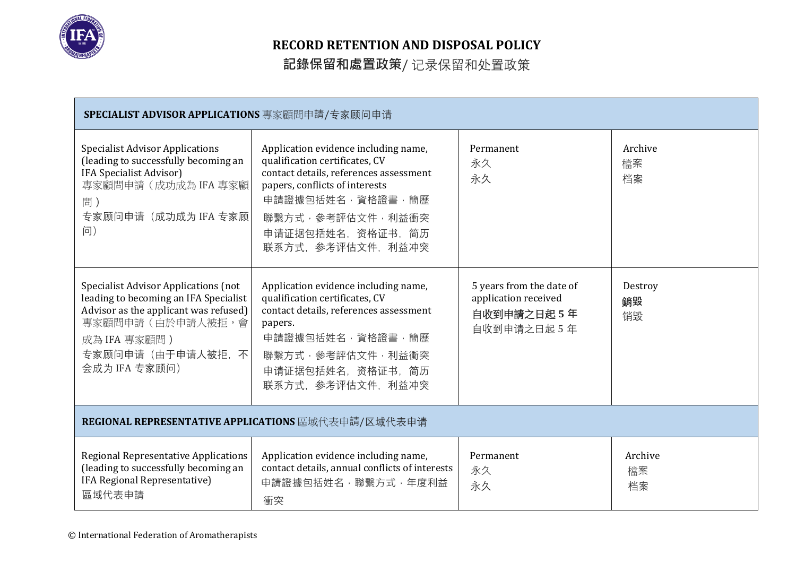

| SPECIALIST ADVISOR APPLICATIONS 專家顧問申請/专家顾问申请                                                                                                                                                          |                                                                                                                                                                                                                                        |                                                                               |                     |
|--------------------------------------------------------------------------------------------------------------------------------------------------------------------------------------------------------|----------------------------------------------------------------------------------------------------------------------------------------------------------------------------------------------------------------------------------------|-------------------------------------------------------------------------------|---------------------|
| <b>Specialist Advisor Applications</b><br>(leading to successfully becoming an<br>IFA Specialist Advisor)<br>專家顧問申請 (成功成為 IFA 專家顧<br>問)<br>专家顾问申请(成功成为 IFA 专家顾<br>问)                                   | Application evidence including name,<br>qualification certificates, CV<br>contact details, references assessment<br>papers, conflicts of interests<br>申請證據包括姓名,資格證書,簡歷<br>聯繫方式,參考評估文件,利益衝突<br>申请证据包括姓名, 资格证书, 简历<br>联系方式, 参考评估文件, 利益冲突 | Permanent<br>永久<br>永久                                                         | Archive<br>檔案<br>档案 |
| <b>Specialist Advisor Applications (not</b><br>leading to becoming an IFA Specialist<br>Advisor as the applicant was refused)<br>專家顧問申請(由於申請人被拒,會<br>成為 IFA 專家顧問)<br>专家顾问申请(由于申请人被拒、不<br>会成为 IFA 专家顾问) | Application evidence including name,<br>qualification certificates, CV<br>contact details, references assessment<br>papers.<br>申請證據包括姓名,資格證書,簡歷<br>聯繫方式,參考評估文件,利益衝突<br>申请证据包括姓名, 资格证书, 简历<br>联系方式, 参考评估文件, 利益冲突                        | 5 years from the date of<br>application received<br>自收到申請之日起5年<br>自收到申请之日起 5年 | Destroy<br>銷毀<br>销毁 |
| REGIONAL REPRESENTATIVE APPLICATIONS 區域代表申請/区域代表申请                                                                                                                                                     |                                                                                                                                                                                                                                        |                                                                               |                     |
| Regional Representative Applications<br>(leading to successfully becoming an<br>IFA Regional Representative)<br>區域代表申請                                                                                 | Application evidence including name,<br>contact details, annual conflicts of interests<br>申請證據包括姓名,聯繫方式,年度利益<br>衝突                                                                                                                     | Permanent<br>永久<br>永久                                                         | Archive<br>檔案<br>档案 |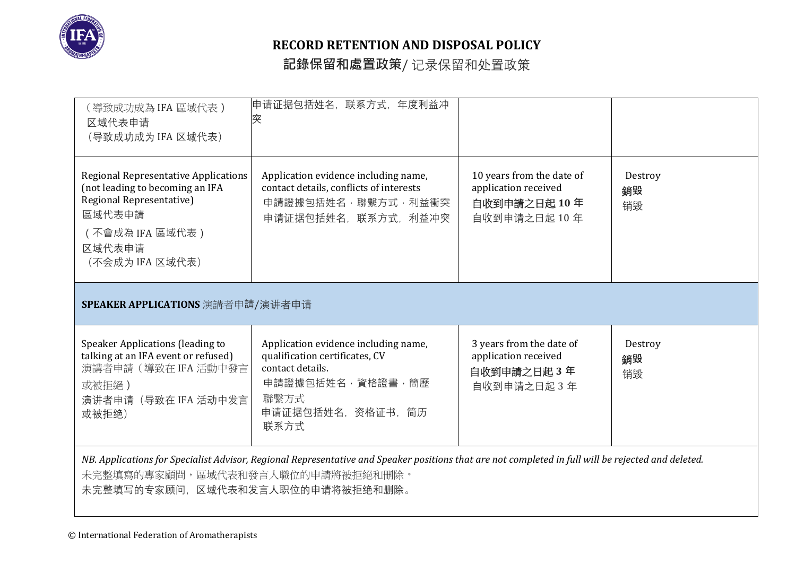

| (導致成功成為 IFA 區域代表 )<br>区域代表申请<br>(导致成功成为 IFA 区域代表)                                                                                                                                                                           | 申请证据包括姓名,联系方式,年度利益冲<br>突                                                                                                                             |                                                                                  |                     |  |
|-----------------------------------------------------------------------------------------------------------------------------------------------------------------------------------------------------------------------------|------------------------------------------------------------------------------------------------------------------------------------------------------|----------------------------------------------------------------------------------|---------------------|--|
| <b>Regional Representative Applications</b><br>(not leading to becoming an IFA<br>Regional Representative)<br>區域代表申請<br>(不會成為 IFA 區域代表)<br>区域代表申请<br>(不会成为 IFA 区域代表)                                                        | Application evidence including name,<br>contact details, conflicts of interests<br>申請證據包括姓名,聯繫方式,利益衝突<br>申请证据包括姓名,联系方式,利益冲突                          | 10 years from the date of<br>application received<br>自收到申請之日起10年<br>自收到申请之日起 10年 | Destroy<br>銷毀<br>销毁 |  |
| SPEAKER APPLICATIONS 演講者申請/演讲者申请                                                                                                                                                                                            |                                                                                                                                                      |                                                                                  |                     |  |
| Speaker Applications (leading to<br>talking at an IFA event or refused)<br>演講者申請 (導致在 IFA 活動中發言<br>或被拒絕)<br>演讲者申请 (导致在 IFA 活动中发言<br>或被拒绝)                                                                                   | Application evidence including name,<br>qualification certificates, CV<br>contact details.<br>申請證據包括姓名,資格證書,簡歷<br>聯繫方式<br>申请证据包括姓名, 资格证书, 简历<br>联系方式 | 3 years from the date of<br>application received<br>自收到申請之日起3年<br>自收到申请之日起 3年    | Destroy<br>銷毀<br>销毁 |  |
| NB. Applications for Specialist Advisor, Regional Representative and Speaker positions that are not completed in full will be rejected and deleted.<br>未完整填寫的專家顧問,區域代表和發言人職位的申請將被拒絕和刪除。<br>未完整填写的专家顾问,区域代表和发言人职位的申请将被拒绝和删除。 |                                                                                                                                                      |                                                                                  |                     |  |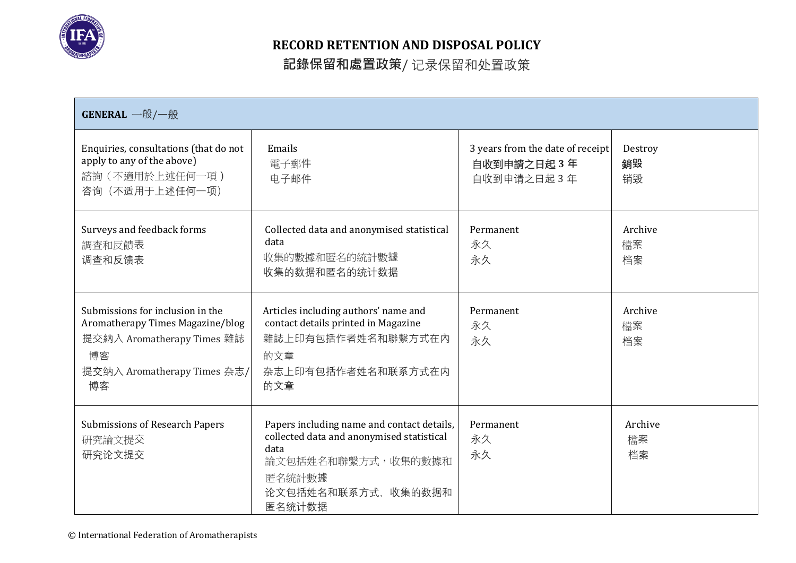

| <b>GENERAL</b> 一般/一般                                                                                                                          |                                                                                                                                                                  |                                                               |                     |
|-----------------------------------------------------------------------------------------------------------------------------------------------|------------------------------------------------------------------------------------------------------------------------------------------------------------------|---------------------------------------------------------------|---------------------|
| Enquiries, consultations (that do not<br>apply to any of the above)<br>諮詢(不適用於上述任何一項)<br>咨询 (不适用于上述任何一项)                                      | Emails<br>電子郵件<br>电子邮件                                                                                                                                           | 3 years from the date of receipt<br>自收到申請之日起3年<br>自收到申请之日起 3年 | Destroy<br>銷毀<br>销毁 |
| Surveys and feedback forms<br>調査和反饋表<br>调查和反馈表                                                                                                | Collected data and anonymised statistical<br>data<br>收集的數據和匿名的統計數據<br>收集的数据和匿名的统计数据                                                                              | Permanent<br>永久<br>永久                                         | Archive<br>檔案<br>档案 |
| Submissions for inclusion in the<br>Aromatherapy Times Magazine/blog<br>提交納入 Aromatherapy Times 雜誌<br>博客<br>提交纳入 Aromatherapy Times 杂志/<br>博客 | Articles including authors' name and<br>contact details printed in Magazine<br>雜誌上印有包括作者姓名和聯繫方式在內<br>的文章<br>杂志上印有包括作者姓名和联系方式在内<br>的文章                            | Permanent<br>永久<br>永久                                         | Archive<br>檔案<br>档案 |
| <b>Submissions of Research Papers</b><br>研究論文提交<br>研究论文提交                                                                                     | Papers including name and contact details,<br>collected data and anonymised statistical<br>data<br>論文包括姓名和聯繫方式,收集的數據和<br>匿名統計數據<br>论文包括姓名和联系方式, 收集的数据和<br>匿名统计数据 | Permanent<br>永久<br>永久                                         | Archive<br>檔案<br>档案 |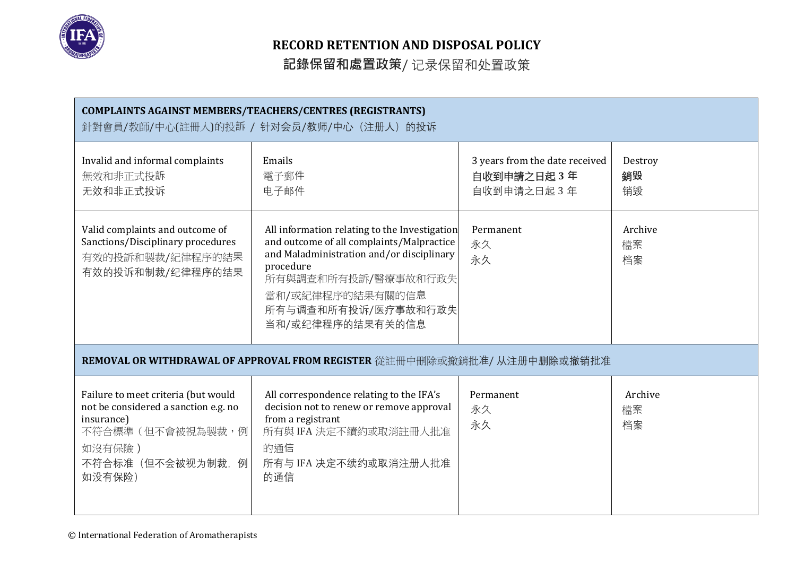

| <b>COMPLAINTS AGAINST MEMBERS/TEACHERS/CENTRES (REGISTRANTS)</b><br>針對會員/教師/中心(註冊人)的投訴 / 针对会员/教师/中心 (注册人) 的投诉                                          |                                                                                                                                                                                                                                            |                                                             |                     |
|--------------------------------------------------------------------------------------------------------------------------------------------------------|--------------------------------------------------------------------------------------------------------------------------------------------------------------------------------------------------------------------------------------------|-------------------------------------------------------------|---------------------|
| Invalid and informal complaints<br>無效和非正式投訴<br>无效和非正式投诉                                                                                                | Emails<br>電子郵件<br>电子邮件                                                                                                                                                                                                                     | 3 years from the date received<br>自收到申請之日起3年<br>自收到申请之日起 3年 | Destroy<br>銷毀<br>销毁 |
| Valid complaints and outcome of<br>Sanctions/Disciplinary procedures<br>有效的投訴和製裁/紀律程序的結果<br>有效的投诉和制裁/纪律程序的结果                                           | All information relating to the Investigation<br>and outcome of all complaints/Malpractice<br>and Maladministration and/or disciplinary<br>procedure<br>所有與調查和所有投訴/醫療事故和行政失<br>當和/或紀律程序的結果有關的信息<br>所有与调查和所有投诉/医疗事故和行政失<br>当和/或纪律程序的结果有关的信息 | Permanent<br>永久<br>永久                                       | Archive<br>檔案<br>档案 |
|                                                                                                                                                        | REMOVAL OR WITHDRAWAL OF APPROVAL FROM REGISTER 從註冊中刪除或撤銷批准/ 从注册中删除或撤销批准                                                                                                                                                                   |                                                             |                     |
| Failure to meet criteria (but would<br>not be considered a sanction e.g. no<br>insurance)<br>不符合標準 (但不會被視為製裁,例<br>如沒有保險)<br>不符合标准(但不会被视为制裁,例<br>如没有保险) | All correspondence relating to the IFA's<br>decision not to renew or remove approval<br>from a registrant<br>所有與 IFA 決定不續約或取消註冊人批准<br>的通信<br>所有与 IFA 决定不续约或取消注册人批准<br>的通信                                                                  | Permanent<br>永久<br>永久                                       | Archive<br>檔案<br>档案 |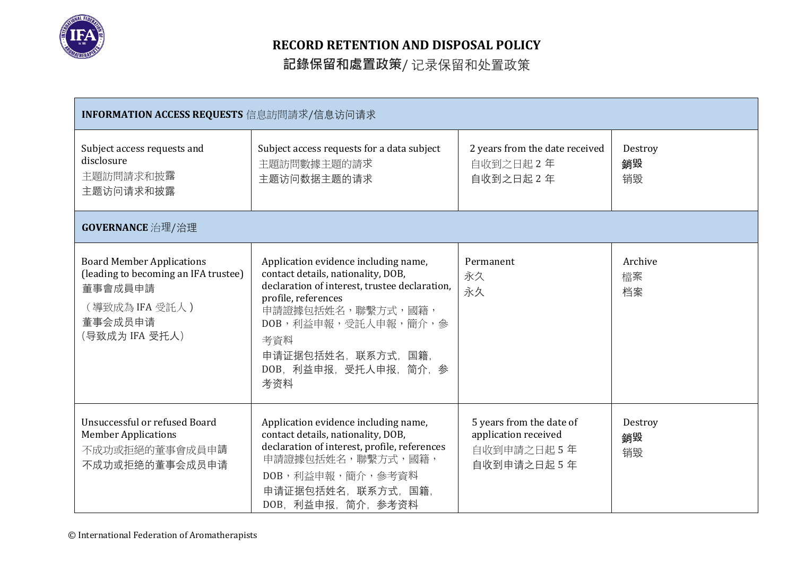

| INFORMATION ACCESS REQUESTS 信息訪問請求/信息访问请求                                                                                          |                                                                                                                                                                                                                                                                |                                                                               |                     |
|------------------------------------------------------------------------------------------------------------------------------------|----------------------------------------------------------------------------------------------------------------------------------------------------------------------------------------------------------------------------------------------------------------|-------------------------------------------------------------------------------|---------------------|
| Subject access requests and<br>disclosure<br>主題訪問請求和披露<br>主题访问请求和披露                                                                | Subject access requests for a data subject<br>主題訪問數據主題的請求<br>主题访问数据主题的请求                                                                                                                                                                                       | 2 years from the date received<br>自收到之日起2年<br>自收到之日起 2年                       | Destroy<br>銷毀<br>销毁 |
| GOVERNANCE 治理/治理                                                                                                                   |                                                                                                                                                                                                                                                                |                                                                               |                     |
| <b>Board Member Applications</b><br>(leading to becoming an IFA trustee)<br>董事會成員申請<br>(導致成為 IFA 受託人)<br>董事会成员申请<br>(导致成为 IFA 受托人) | Application evidence including name,<br>contact details, nationality, DOB,<br>declaration of interest, trustee declaration,<br>profile, references<br>申請證據包括姓名,聯繫方式,國籍,<br>DOB,利益申報,受託人申報,簡介,參<br>考資料<br>申请证据包括姓名, 联系方式, 国籍,<br>DOB, 利益申报, 受托人申报, 简介, 参<br>考资料 | Permanent<br>永久<br>永久                                                         | Archive<br>檔案<br>档案 |
| Unsuccessful or refused Board<br><b>Member Applications</b><br>不成功或拒絕的董事會成員申請<br>不成功或拒绝的董事会成员申请                                    | Application evidence including name,<br>contact details, nationality, DOB,<br>declaration of interest, profile, references<br>申請證據包括姓名,聯繫方式,國籍,<br>DOB, 利益申報,簡介, 參考資料<br>申请证据包括姓名, 联系方式, 国籍,<br>DOB, 利益申报, 简介, 参考资料                                            | 5 years from the date of<br>application received<br>自收到申請之日起5年<br>自收到申请之日起 5年 | Destroy<br>銷毀<br>销毁 |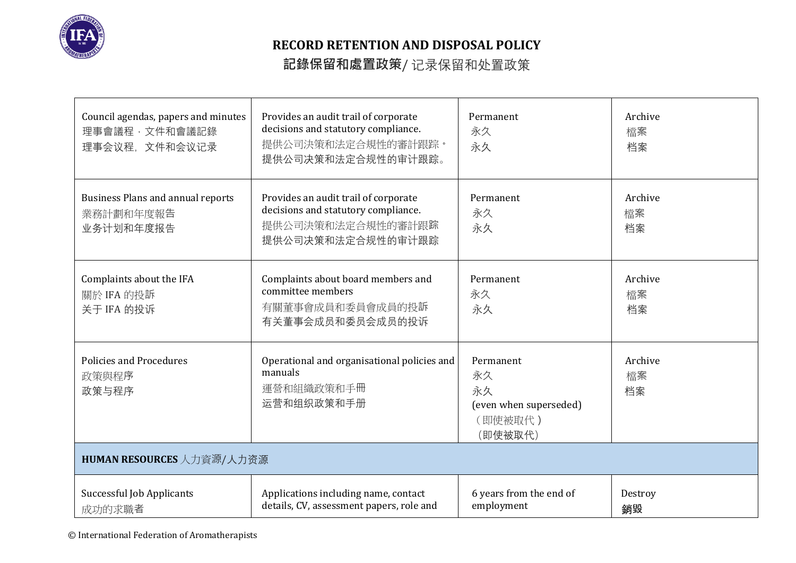

| Council agendas, papers and minutes<br>理事會議程,文件和會議記錄<br>理事会议程,文件和会议记录 | Provides an audit trail of corporate<br>decisions and statutory compliance.<br>提供公司決策和法定合規性的審計跟踪。<br>提供公司决策和法定合规性的审计跟踪。 | Permanent<br>永久<br>永久                                                 | Archive<br>檔案<br>档案 |
|-----------------------------------------------------------------------|-------------------------------------------------------------------------------------------------------------------------|-----------------------------------------------------------------------|---------------------|
| <b>Business Plans and annual reports</b><br>業務計劃和年度報告<br>业务计划和年度报告    | Provides an audit trail of corporate<br>decisions and statutory compliance.<br>提供公司決策和法定合規性的審計跟踪<br>提供公司决策和法定合规性的审计跟踪   | Permanent<br>永久<br>永久                                                 | Archive<br>檔案<br>档案 |
| Complaints about the IFA<br>關於 IFA 的投訴<br>关于 IFA 的投诉                  | Complaints about board members and<br>committee members<br>有關董事會成員和委員會成員的投訴<br>有关董事会成员和委员会成员的投诉                         | Permanent<br>永久<br>永久                                                 | Archive<br>檔案<br>档案 |
| <b>Policies and Procedures</b><br>政策與程序<br>政策与程序                      | Operational and organisational policies and<br>manuals<br>運營和組織政策和手冊<br>运营和组织政策和手册                                      | Permanent<br>永久<br>永久<br>(even when superseded)<br>(即使被取代)<br>(即使被取代) | Archive<br>檔案<br>档案 |
| HUMAN RESOURCES 人力資源/人力资源                                             |                                                                                                                         |                                                                       |                     |
| Successful Job Applicants<br>成功的求職者                                   | Applications including name, contact<br>details, CV, assessment papers, role and                                        | 6 years from the end of<br>employment                                 | Destroy<br>銷毀       |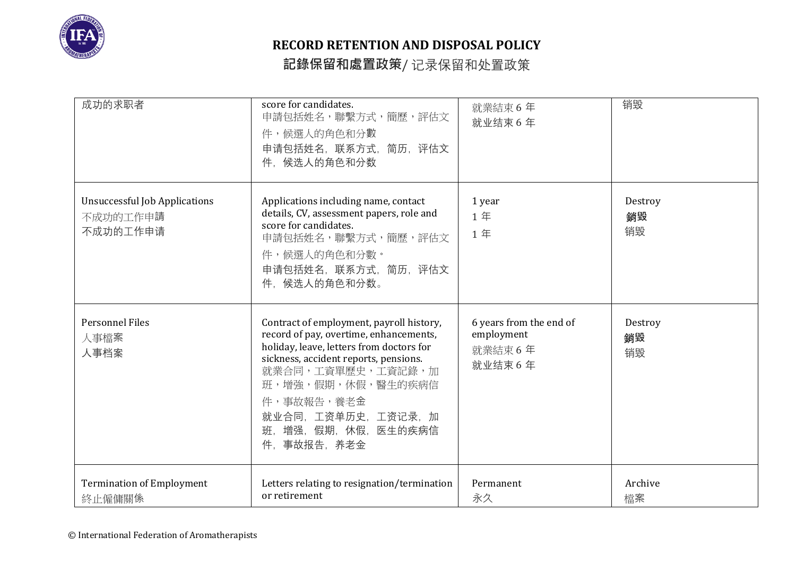

| 成功的求职者                                                       | score for candidates.<br>申請包括姓名,聯繫方式,簡歷,評估文<br>件,候選人的角色和分數<br>申请包括姓名,联系方式,简历,评估文<br>件,候选人的角色和分数                                                                                                                                                                                              | 就業結束6年<br>就业结束 6年                                          | 销毁                  |
|--------------------------------------------------------------|----------------------------------------------------------------------------------------------------------------------------------------------------------------------------------------------------------------------------------------------------------------------------------------------|------------------------------------------------------------|---------------------|
| <b>Unsuccessful Job Applications</b><br>不成功的工作申請<br>不成功的工作申请 | Applications including name, contact<br>details, CV, assessment papers, role and<br>score for candidates.<br>申請包括姓名,聯繫方式,簡歷,評估文<br>件,候選人的角色和分數。<br>申请包括姓名, 联系方式, 简历, 评估文<br>件、候选人的角色和分数。                                                                                                     | 1 year<br>1年<br>1年                                         | Destroy<br>銷毀<br>销毁 |
| <b>Personnel Files</b><br>人事檔案<br>人事档案                       | Contract of employment, payroll history,<br>record of pay, overtime, enhancements,<br>holiday, leave, letters from doctors for<br>sickness, accident reports, pensions.<br>就業合同,工資單歷史,工資記錄,加<br>班,增強,假期,休假,醫生的疾病信<br>件,事故報告,養老金<br>就业合同, 工资单历史, 工资记录, 加<br>班、增强、假期、休假、医生的疾病信<br>件, 事故报告, 养老金 | 6 years from the end of<br>employment<br>就業結束6年<br>就业结束 6年 | Destroy<br>銷毀<br>销毁 |
| <b>Termination of Employment</b><br>終止僱傭關係                   | Letters relating to resignation/termination<br>or retirement                                                                                                                                                                                                                                 | Permanent<br>永久                                            | Archive<br>檔案       |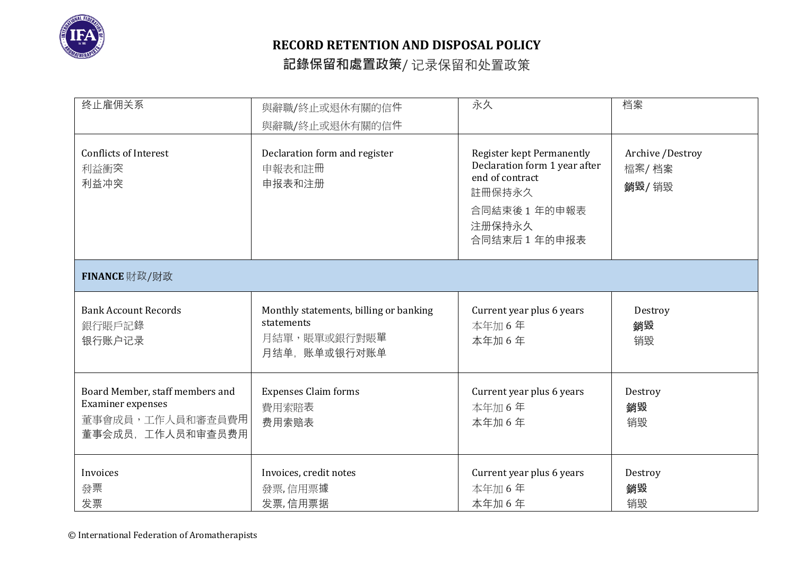

| 终止雇佣关系                                                                                       | 與辭職/終止或退休有關的信件<br>與辭職/終止或退休有關的信件                                                      | 永久                                                                                                                                       | 档案                                 |  |
|----------------------------------------------------------------------------------------------|---------------------------------------------------------------------------------------|------------------------------------------------------------------------------------------------------------------------------------------|------------------------------------|--|
| <b>Conflicts of Interest</b><br>利益衝突<br>利益冲突                                                 | Declaration form and register<br>申報表和註冊<br>申报表和注册                                     | <b>Register kept Permanently</b><br>Declaration form 1 year after<br>end of contract<br>註冊保持永久<br>合同結束後1年的申報表<br>注册保持永久<br>合同结束后 1 年的申报表 | Archive /Destroy<br>檔案/档案<br>銷毀/销毁 |  |
| FINANCE 財政/财政                                                                                |                                                                                       |                                                                                                                                          |                                    |  |
| <b>Bank Account Records</b><br>銀行賬戶記錄<br>银行账户记录                                              | Monthly statements, billing or banking<br>statements<br>月結單,賬單或銀行對賬單<br>月结单, 账单或银行对账单 | Current year plus 6 years<br>本年加6年<br>本年加6年                                                                                              | Destroy<br>銷毀<br>销毁                |  |
| Board Member, staff members and<br>Examiner expenses<br>董事會成員,工作人員和審查員費用<br>董事会成员,工作人员和审查员费用 | <b>Expenses Claim forms</b><br>費用索賠表<br>费用索赔表                                         | Current year plus 6 years<br>本年加6年<br>本年加6年                                                                                              | Destroy<br>銷毀<br>销毁                |  |
| Invoices<br>發票<br>发票                                                                         | Invoices, credit notes<br>發票,信用票據<br>发票,信用票据                                          | Current year plus 6 years<br>本年加6年<br>本年加6年                                                                                              | Destroy<br>銷毀<br>销毁                |  |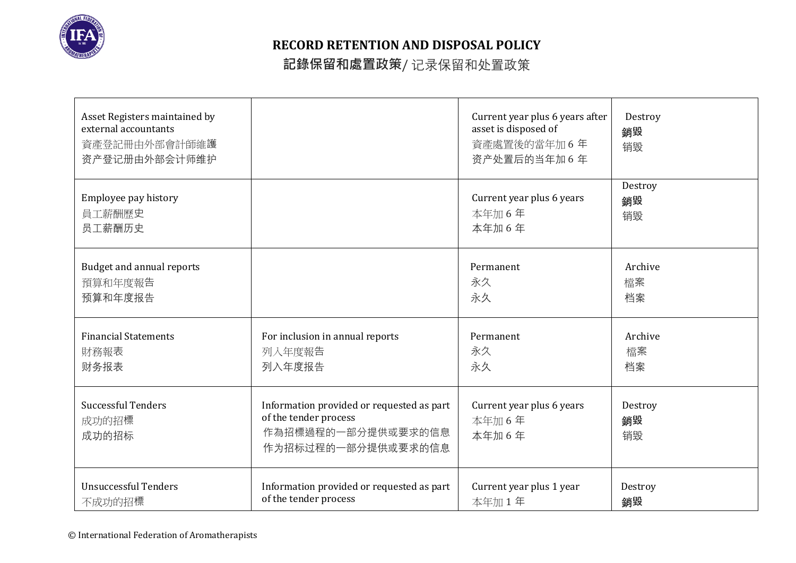

| Asset Registers maintained by<br>external accountants<br>資產登記冊由外部會計師維護<br>资产登记册由外部会计师维护 |                                                                                                                | Current year plus 6 years after<br>asset is disposed of<br>資產處置後的當年加6年<br>资产处置后的当年加6年 | Destroy<br>銷毀<br>销毁 |
|-----------------------------------------------------------------------------------------|----------------------------------------------------------------------------------------------------------------|---------------------------------------------------------------------------------------|---------------------|
| Employee pay history                                                                    |                                                                                                                | Current year plus 6 years                                                             | Destroy             |
| 員工薪酬歷史                                                                                  |                                                                                                                | 本年加6年                                                                                 | 銷毀                  |
| 员工薪酬历史                                                                                  |                                                                                                                | 本年加6年                                                                                 | 销毁                  |
| <b>Budget and annual reports</b>                                                        |                                                                                                                | Permanent                                                                             | Archive             |
| 預算和年度報告                                                                                 |                                                                                                                | 永久                                                                                    | 檔案                  |
| 预算和年度报告                                                                                 |                                                                                                                | 永久                                                                                    | 档案                  |
| <b>Financial Statements</b>                                                             | For inclusion in annual reports                                                                                | Permanent                                                                             | Archive             |
| 財務報表                                                                                    | 列入年度報告                                                                                                         | 永久                                                                                    | 檔案                  |
| 财务报表                                                                                    | 列入年度报告                                                                                                         | 永久                                                                                    | 档案                  |
| <b>Successful Tenders</b><br>成功的招標<br>成功的招标                                             | Information provided or requested as part<br>of the tender process<br>作為招標過程的一部分提供或要求的信息<br>作为招标过程的一部分提供或要求的信息 | Current year plus 6 years<br>本年加6年<br>本年加6年                                           | Destroy<br>銷毀<br>销毁 |
| <b>Unsuccessful Tenders</b>                                                             | Information provided or requested as part                                                                      | Current year plus 1 year                                                              | Destroy             |
| 不成功的招標                                                                                  | of the tender process                                                                                          | 本年加1年                                                                                 | 銷毀                  |